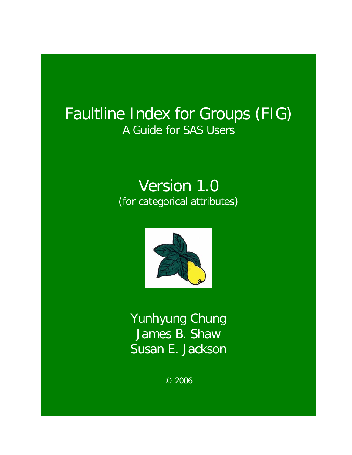# Faultline Index for Groups (FIG) A Guide for SAS Users

# Version 1.0 (for categorical attributes)



Yunhyung Chung James B. Shaw Susan E. Jackson

© 2006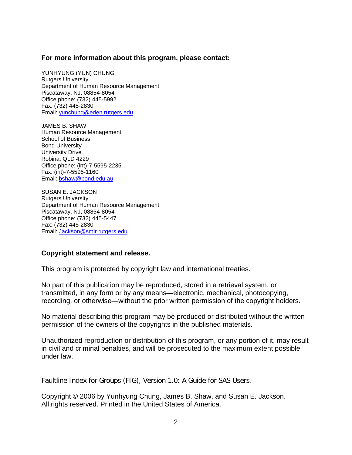### **For more information about this program, please contact:**

YUNHYUNG (YUN) CHUNG Rutgers University Department of Human Resource Management Piscataway, NJ, 08854-8054 Office phone: (732) 445-5992 Fax: (732) 445-2830 Email: [yunchung@eden.rutgers.edu](mailto:yunchung@eden.rutgers.edu)

JAMES B. SHAW Human Resource Management School of Business Bond University University Drive Robina, QLD 4229 Office phone: (int)-7-5595-2235 Fax: (int)-7-5595-1160 Email: [bshaw@bond.edu.au](mailto:bshaw@bond.edu.au)

SUSAN E. JACKSON Rutgers University Department of Human Resource Management Piscataway, NJ, 08854-8054 Office phone: (732) 445-5447 Fax: (732) 445-2830 Email: [Jackson@smlr.rutgers.edu](mailto:Jackson@smlr.rutgers.edu)

### **Copyright statement and release.**

This program is protected by copyright law and international treaties.

No part of this publication may be reproduced, stored in a retrieval system, or transmitted, in any form or by any means—electronic, mechanical, photocopying, recording, or otherwise—without the prior written permission of the copyright holders.

No material describing this program may be produced or distributed without the written permission of the owners of the copyrights in the published materials.

Unauthorized reproduction or distribution of this program, or any portion of it, may result in civil and criminal penalties, and will be prosecuted to the maximum extent possible under law.

Faultline Index for Groups (FIG), Version 1.0: A Guide for SAS Users.

Copyright © 2006 by Yunhyung Chung, James B. Shaw, and Susan E. Jackson. All rights reserved. Printed in the United States of America.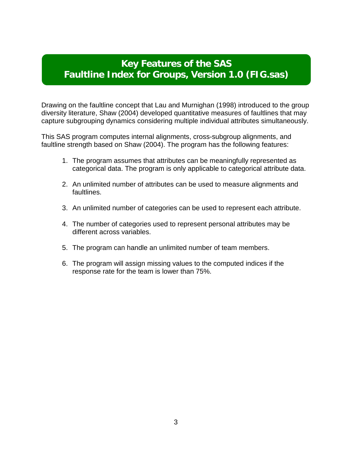## **Key Features of the SAS Faultline Index for Groups, Version 1.0 (FIG.sas)**

Drawing on the faultline concept that Lau and Murnighan (1998) introduced to the group diversity literature, Shaw (2004) developed quantitative measures of faultlines that may capture subgrouping dynamics considering multiple individual attributes simultaneously.

This SAS program computes internal alignments, cross-subgroup alignments, and faultline strength based on Shaw (2004). The program has the following features:

- 1. The program assumes that attributes can be meaningfully represented as categorical data. The program is only applicable to categorical attribute data.
- 2. An unlimited number of attributes can be used to measure alignments and faultlines.
- 3. An unlimited number of categories can be used to represent each attribute.
- 4. The number of categories used to represent personal attributes may be different across variables.
- 5. The program can handle an unlimited number of team members.
- 6. The program will assign missing values to the computed indices if the response rate for the team is lower than 75%.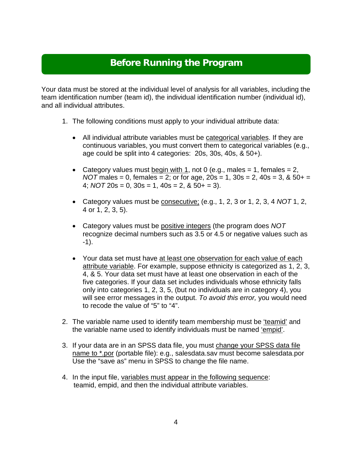## **Before Running the Program**

Your data must be stored at the individual level of analysis for all variables, including the team identification number (team id), the individual identification number (individual id), and all individual attributes.

- 1. The following conditions must apply to your individual attribute data:
	- All individual attribute variables must be categorical variables. If they are continuous variables, you must convert them to categorical variables (e.g., age could be split into 4 categories: 20s, 30s, 40s, & 50+).
	- Category values must begin with 1, not 0 (e.g., males  $= 1$ , females  $= 2$ ,  $NOT$  males = 0, females = 2; or for age,  $20s = 1$ ,  $30s = 2$ ,  $40s = 3$ ,  $\& 50 +$  = 4;  $NOT$   $20s = 0$ ,  $30s = 1$ ,  $40s = 2$ ,  $& 50 + 3$ .
	- Category values must be consecutive; (e.g., 1, 2, 3 or 1, 2, 3, 4 *NOT* 1, 2, 4 or 1, 2, 3, 5).
	- Category values must be positive integers (the program does *NOT* recognize decimal numbers such as 3.5 or 4.5 or negative values such as -1).
	- Your data set must have at least one observation for each value of each attribute variable. For example, suppose ethnicity is categorized as 1, 2, 3, 4, & 5. Your data set must have at least one observation in each of the five categories. If your data set includes individuals whose ethnicity falls only into categories 1, 2, 3, 5, (but no individuals are in category 4), you will see error messages in the output. *To avoid this error,* you would need to recode the value of "5" to "4".
- 2. The variable name used to identify team membership must be 'teamid' and the variable name used to identify individuals must be named 'empid'.
- 3. If your data are in an SPSS data file, you must change your SPSS data file name to \*.por (portable file): e.g., salesdata.sav must become salesdata.por Use the "save as" menu in SPSS to change the file name.
- 4. In the input file, variables must appear in the following sequence: teamid, empid, and then the individual attribute variables.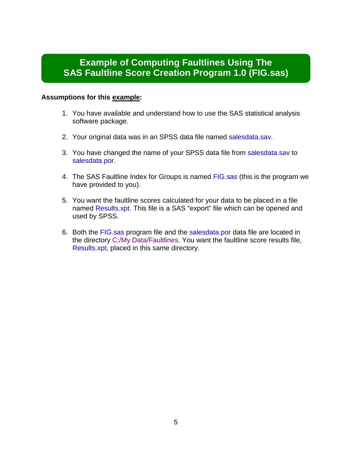## **Example of Computing Faultlines Using The SAS Faultline Score Creation Program 1.0 (FIG.sas)**

### **Assumptions for this example:**

- 1. You have available and understand how to use the SAS statistical analysis software package.
- 2. Your original data was in an SPSS data file named salesdata.sav.
- 3. You have changed the name of your SPSS data file from salesdata.sav to salesdata.por.
- 4. The SAS Faultline Index for Groups is named FIG.sas (this is the program we have provided to you).
- 5. You want the faultline scores calculated for your data to be placed in a file named Results.xpt. This file is a SAS "export" file which can be opened and used by SPSS.
- 6. Both the FIG.sas program file and the salesdata.por data file are located in the directory C:/My Data/Faultlines. You want the faultline score results file, Results.xpt, placed in this same directory.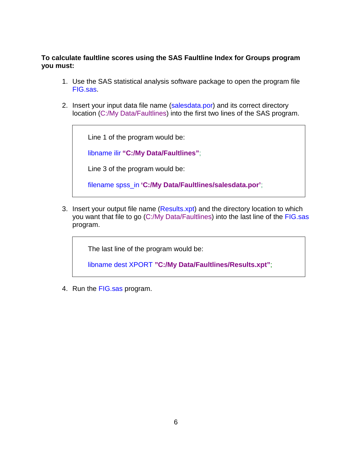**To calculate faultline scores using the SAS Faultline Index for Groups program you must:**

- 1. Use the SAS statistical analysis software package to open the program file FIG.sas.
- 2. Insert your input data file name (salesdata.por) and its correct directory location (C:/My Data/Faultlines) into the first two lines of the SAS program.

Line 1 of the program would be:

libname ilir **"C:/My Data/Faultlines"**;

Line 3 of the program would be:

filename spss\_in **'C:/My Data/Faultlines/salesdata.por'**;

3. Insert your output file name (Results.xpt) and the directory location to which you want that file to go (C:/My Data/Faultlines) into the last line of the FIG.sas program.

The last line of the program would be:

libname dest XPORT **"C:/My Data/Faultlines/Results.xpt"**;

4. Run the FIG.sas program.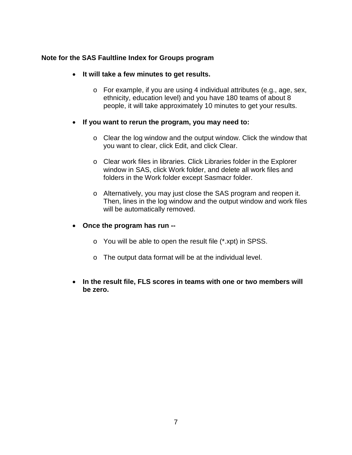## **Note for the SAS Faultline Index for Groups program**

- **It will take a few minutes to get results.** 
	- o For example, if you are using 4 individual attributes (e.g., age, sex, ethnicity, education level) and you have 180 teams of about 8 people, it will take approximately 10 minutes to get your results.
- **If you want to rerun the program, you may need to:**
	- o Clear the log window and the output window. Click the window that you want to clear, click Edit, and click Clear.
	- o Clear work files in libraries. Click Libraries folder in the Explorer window in SAS, click Work folder, and delete all work files and folders in the Work folder except Sasmacr folder.
	- o Alternatively, you may just close the SAS program and reopen it. Then, lines in the log window and the output window and work files will be automatically removed.
- **Once the program has run -**
	- o You will be able to open the result file (\*.xpt) in SPSS.
	- o The output data format will be at the individual level.
- **In the result file, FLS scores in teams with one or two members will be zero.**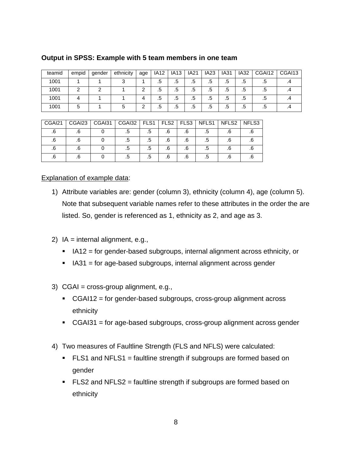| teamid | empid | gender | ethnicity | age | IA12 | <b>IA13</b> | <b>IA21</b> | <b>IA23</b> | <b>IA31</b> | <b>IA32</b> | CGAI12 | CGAI13 |
|--------|-------|--------|-----------|-----|------|-------------|-------------|-------------|-------------|-------------|--------|--------|
| 1001   |       |        |           |     | .ხ   | ه.          | .5          | .b          | .5          | .5          | ه.     |        |
| 1001   |       |        |           |     | .5   | ه.          | .5          | .5          | .b          | .5          | ە.     |        |
| 1001   |       |        |           | 4   | .5   | ه.          | .5          | .5          | .5          | .5          | ە.     |        |
| 1001   | b     |        |           |     | .5   | ه.          | .5          | c.          | .b          | .5          | c.     |        |

## **Output in SPSS: Example with 5 team members in one team**

| CGAI21 | CGAI23   CGAI31 | CGAI32   FLS1   FLS2   FLS3   NFLS1   NFLS2 |    |    |    |  | NFLS3 |
|--------|-----------------|---------------------------------------------|----|----|----|--|-------|
|        |                 |                                             | .ა |    |    |  |       |
|        |                 |                                             | .5 |    | .6 |  |       |
|        |                 |                                             | .5 | .6 | .6 |  |       |
|        |                 |                                             | ه. |    | .6 |  |       |

## Explanation of example data:

- 1) Attribute variables are: gender (column 3), ethnicity (column 4), age (column 5). Note that subsequent variable names refer to these attributes in the order the are listed. So, gender is referenced as 1, ethnicity as 2, and age as 3.
- 2)  $IA = internal alignment, e.g.,$ 
	- $I = IAT2$  = for gender-based subgroups, internal alignment across ethnicity, or
	- $I$  IA31 = for age-based subgroups, internal alignment across gender
- 3) CGAI = cross-group alignment, e.g.,
	- CGAI12 = for gender-based subgroups, cross-group alignment across ethnicity
	- $\overline{C}$  CGAI31 = for age-based subgroups, cross-group alignment across gender
- 4) Two measures of Faultline Strength (FLS and NFLS) were calculated:
	- $\blacksquare$  FLS1 and NFLS1 = faultline strength if subgroups are formed based on gender
	- $\blacksquare$  FLS2 and NFLS2 = faultline strength if subgroups are formed based on ethnicity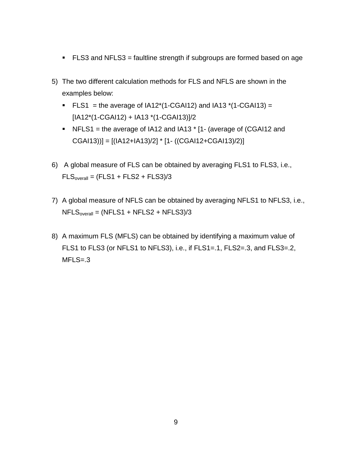- FLS3 and NFLS3 = faultline strength if subgroups are formed based on age
- 5) The two different calculation methods for FLS and NFLS are shown in the examples below:
	- **FLS1** = the average of  $IA12*(1-CGA112)$  and  $IA13*(1-CGA113)$  = [IA12\*(1-CGAI12) + IA13 \*(1-CGAI13)]/2
	- NFLS1 = the average of IA12 and IA13  $*$  [1- (average of (CGAI12 and  $CGA113$ )] =  $[(IA12+IA13)/2]$  \*  $[1-((CGA112+CGA113)/2)]$
- 6) A global measure of FLS can be obtained by averaging FLS1 to FLS3, i.e.,  $FLS<sub>overall</sub> = (FLS1 + FLS2 + FLS3)/3$
- 7) A global measure of NFLS can be obtained by averaging NFLS1 to NFLS3, i.e.,  $NFLS<sub>overall</sub> = (NFLS1 + NFLS2 + NFLS3)/3$
- 8) A maximum FLS (MFLS) can be obtained by identifying a maximum value of FLS1 to FLS3 (or NFLS1 to NFLS3), i.e., if FLS1=.1, FLS2=.3, and FLS3=.2,  $MFLS = .3$